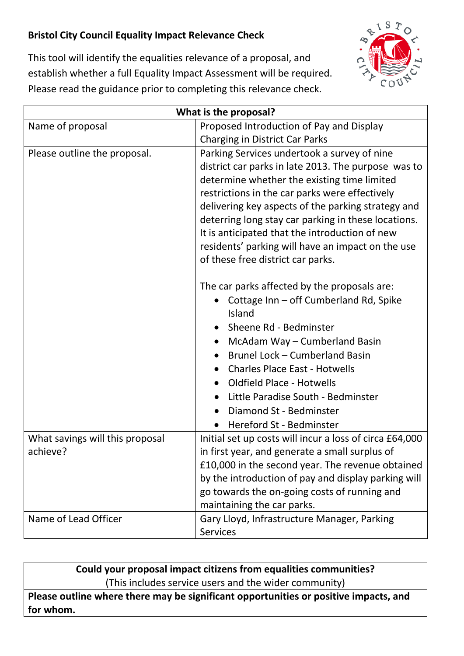## **Bristol City Council Equality Impact Relevance Check**



This tool will identify the equalities relevance of a proposal, and establish whether a full Equality Impact Assessment will be required. Please read the guidance prior to completing this relevance check.

| What is the proposal?           |                                                         |
|---------------------------------|---------------------------------------------------------|
| Name of proposal                | Proposed Introduction of Pay and Display                |
|                                 | <b>Charging in District Car Parks</b>                   |
| Please outline the proposal.    | Parking Services undertook a survey of nine             |
|                                 | district car parks in late 2013. The purpose was to     |
|                                 | determine whether the existing time limited             |
|                                 | restrictions in the car parks were effectively          |
|                                 | delivering key aspects of the parking strategy and      |
|                                 | deterring long stay car parking in these locations.     |
|                                 | It is anticipated that the introduction of new          |
|                                 | residents' parking will have an impact on the use       |
|                                 | of these free district car parks.                       |
|                                 | The car parks affected by the proposals are:            |
|                                 | Cottage Inn - off Cumberland Rd, Spike                  |
|                                 | Island                                                  |
|                                 | Sheene Rd - Bedminster                                  |
|                                 | McAdam Way - Cumberland Basin                           |
|                                 | Brunel Lock - Cumberland Basin                          |
|                                 | <b>Charles Place East - Hotwells</b>                    |
|                                 | <b>Oldfield Place - Hotwells</b>                        |
|                                 | Little Paradise South - Bedminster                      |
|                                 | Diamond St - Bedminster                                 |
|                                 | Hereford St - Bedminster                                |
| What savings will this proposal | Initial set up costs will incur a loss of circa £64,000 |
| achieve?                        | in first year, and generate a small surplus of          |
|                                 | £10,000 in the second year. The revenue obtained        |
|                                 | by the introduction of pay and display parking will     |
|                                 | go towards the on-going costs of running and            |
|                                 | maintaining the car parks.                              |
| Name of Lead Officer            | Gary Lloyd, Infrastructure Manager, Parking             |
|                                 | <b>Services</b>                                         |

**Could your proposal impact citizens from equalities communities?** (This includes service users and the wider community)

**Please outline where there may be significant opportunities or positive impacts, and for whom.**